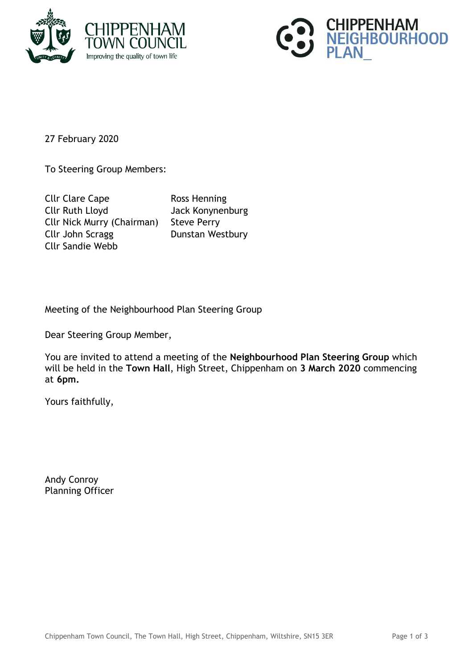



27 February 2020

To Steering Group Members:

Cllr Clare Cape Ross Henning Cllr Ruth Lloyd Jack Konynenburg Cllr Nick Murry (Chairman) Steve Perry Cllr John Scragg Dunstan Westbury Cllr Sandie Webb

Meeting of the Neighbourhood Plan Steering Group

Dear Steering Group Member,

You are invited to attend a meeting of the **Neighbourhood Plan Steering Group** which will be held in the **Town Hall**, High Street, Chippenham on **3 March 2020** commencing at **6pm.**

Yours faithfully,

Andy Conroy Planning Officer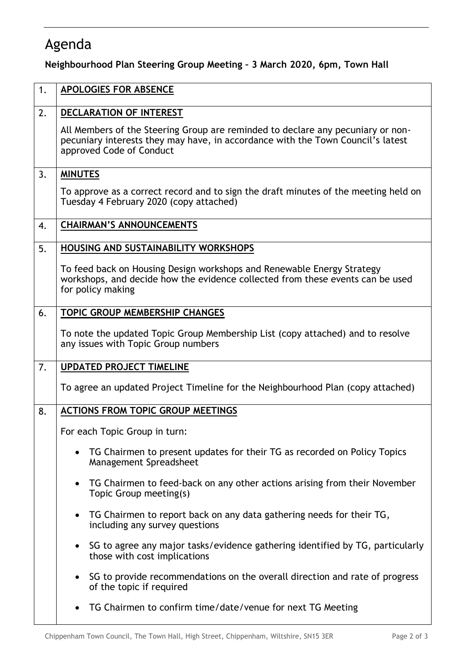## Agenda

**Neighbourhood Plan Steering Group Meeting – 3 March 2020, 6pm, Town Hall**

| 1. | <b>APOLOGIES FOR ABSENCE</b>                                                                                                                                                                   |
|----|------------------------------------------------------------------------------------------------------------------------------------------------------------------------------------------------|
| 2. | DECLARATION OF INTEREST                                                                                                                                                                        |
|    | All Members of the Steering Group are reminded to declare any pecuniary or non-<br>pecuniary interests they may have, in accordance with the Town Council's latest<br>approved Code of Conduct |
| 3. | <b>MINUTES</b>                                                                                                                                                                                 |
|    | To approve as a correct record and to sign the draft minutes of the meeting held on<br>Tuesday 4 February 2020 (copy attached)                                                                 |
| 4. | <b>CHAIRMAN'S ANNOUNCEMENTS</b>                                                                                                                                                                |
| 5. | HOUSING AND SUSTAINABILITY WORKSHOPS                                                                                                                                                           |
|    | To feed back on Housing Design workshops and Renewable Energy Strategy<br>workshops, and decide how the evidence collected from these events can be used<br>for policy making                  |
| 6. | <b>TOPIC GROUP MEMBERSHIP CHANGES</b>                                                                                                                                                          |
|    | To note the updated Topic Group Membership List (copy attached) and to resolve<br>any issues with Topic Group numbers                                                                          |
| 7. | <b>UPDATED PROJECT TIMELINE</b>                                                                                                                                                                |
|    | To agree an updated Project Timeline for the Neighbourhood Plan (copy attached)                                                                                                                |
| 8. | <b>ACTIONS FROM TOPIC GROUP MEETINGS</b>                                                                                                                                                       |
|    | For each Topic Group in turn:                                                                                                                                                                  |
|    | TG Chairmen to present updates for their TG as recorded on Policy Topics<br>Management Spreadsheet                                                                                             |
|    | TG Chairmen to feed-back on any other actions arising from their November<br>Topic Group meeting(s)                                                                                            |
|    | TG Chairmen to report back on any data gathering needs for their TG,<br>$\bullet$<br>including any survey questions                                                                            |
|    | SG to agree any major tasks/evidence gathering identified by TG, particularly<br>those with cost implications                                                                                  |
|    |                                                                                                                                                                                                |
|    | SG to provide recommendations on the overall direction and rate of progress<br>of the topic if required                                                                                        |